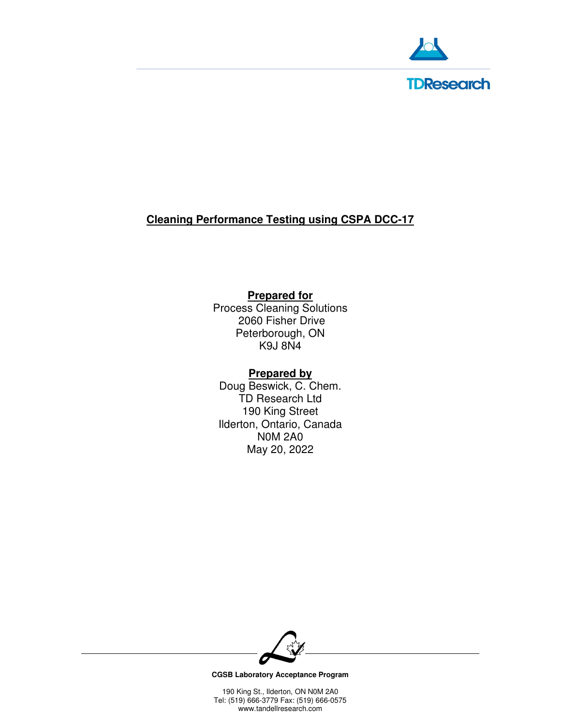

# **Cleaning Performance Testing using CSPA DCC-17**

# **Prepared for**

Process Cleaning Solutions 2060 Fisher Drive Peterborough, ON K9J 8N4

## **Prepared by**

Doug Beswick, C. Chem. TD Research Ltd 190 King Street Ilderton, Ontario, Canada N0M 2A0 May 20, 2022



**CGSB Laboratory Acceptance Program**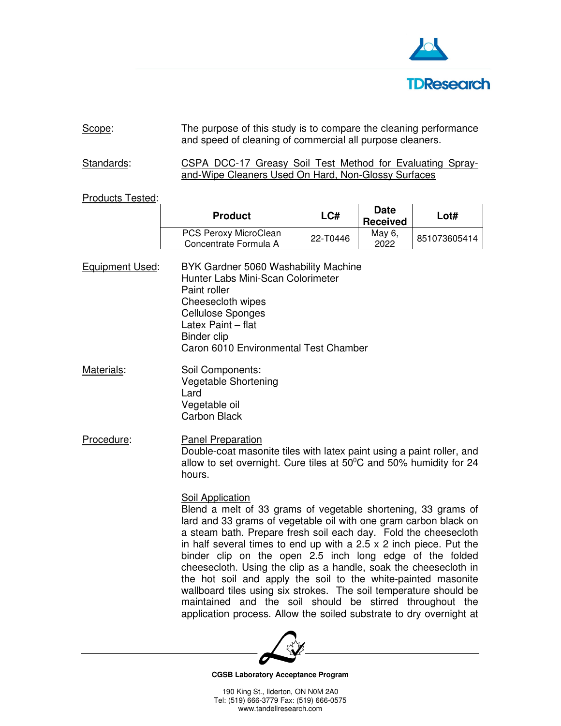

# Scope: The purpose of this study is to compare the cleaning performance and speed of cleaning of commercial all purpose cleaners.

Standards: CSPA DCC-17 Greasy Soil Test Method for Evaluating Sprayand-Wipe Cleaners Used On Hard, Non-Glossy Surfaces

#### Products Tested:

| <b>Product</b>                                        | LCH      | <b>Date</b><br><b>Received</b> | Lot#         |
|-------------------------------------------------------|----------|--------------------------------|--------------|
| <b>PCS Peroxy MicroClean</b><br>Concentrate Formula A | 22-T0446 | May 6,<br>2022                 | 851073605414 |

Equipment Used: BYK Gardner 5060 Washability Machine Hunter Labs Mini-Scan Colorimeter Paint roller Cheesecloth wipes Cellulose Sponges Latex Paint – flat Binder clip Caron 6010 Environmental Test Chamber

Materials: Soil Components: Vegetable Shortening Lard Vegetable oil Carbon Black

Procedure: Panel Preparation Double-coat masonite tiles with latex paint using a paint roller, and allow to set overnight. Cure tiles at  $50^{\circ}$ C and  $50\%$  humidity for 24 hours.

#### **Soil Application**

 Blend a melt of 33 grams of vegetable shortening, 33 grams of lard and 33 grams of vegetable oil with one gram carbon black on a steam bath. Prepare fresh soil each day. Fold the cheesecloth in half several times to end up with a 2.5 x 2 inch piece. Put the binder clip on the open 2.5 inch long edge of the folded cheesecloth. Using the clip as a handle, soak the cheesecloth in the hot soil and apply the soil to the white-painted masonite wallboard tiles using six strokes. The soil temperature should be maintained and the soil should be stirred throughout the application process. Allow the soiled substrate to dry overnight at



**CGSB Laboratory Acceptance Program**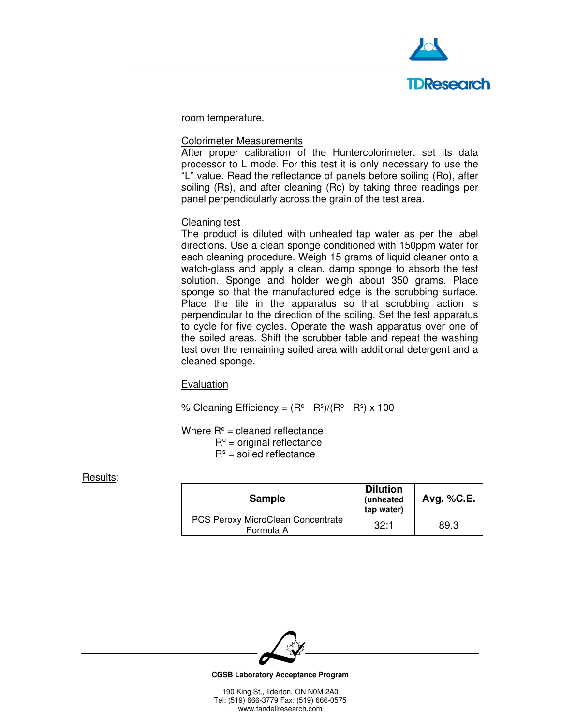

room temperature.

### Colorimeter Measurements

After proper calibration of the Huntercolorimeter, set its data processor to L mode. For this test it is only necessary to use the "L" value. Read the reflectance of panels before soiling (Ro), after soiling (Rs), and after cleaning (Rc) by taking three readings per panel perpendicularly across the grain of the test area.

### Cleaning test

The product is diluted with unheated tap water as per the label directions. Use a clean sponge conditioned with 150ppm water for each cleaning procedure. Weigh 15 grams of liquid cleaner onto a watch-glass and apply a clean, damp sponge to absorb the test solution. Sponge and holder weigh about 350 grams. Place sponge so that the manufactured edge is the scrubbing surface. Place the tile in the apparatus so that scrubbing action is perpendicular to the direction of the soiling. Set the test apparatus to cycle for five cycles. Operate the wash apparatus over one of the soiled areas. Shift the scrubber table and repeat the washing test over the remaining soiled area with additional detergent and a cleaned sponge.

#### **Evaluation**

% Cleaning Efficiency =  $(R<sup>c</sup> - R<sup>s</sup>)/(R<sup>o</sup> - R<sup>s</sup>) \times 100$ 

Where  $R<sup>c</sup>$  = cleaned reflectance

 $R^{\circ}$  = original reflectance

 $R<sup>s</sup>$  = soiled reflectance

### Results:

| <b>Sample</b>                                  | <b>Dilution</b><br>(unheated<br>tap water) | Avg. $%$ C.E. |
|------------------------------------------------|--------------------------------------------|---------------|
| PCS Peroxy MicroClean Concentrate<br>Formula A | 32:1                                       | 89.3          |



**CGSB Laboratory Acceptance Program**